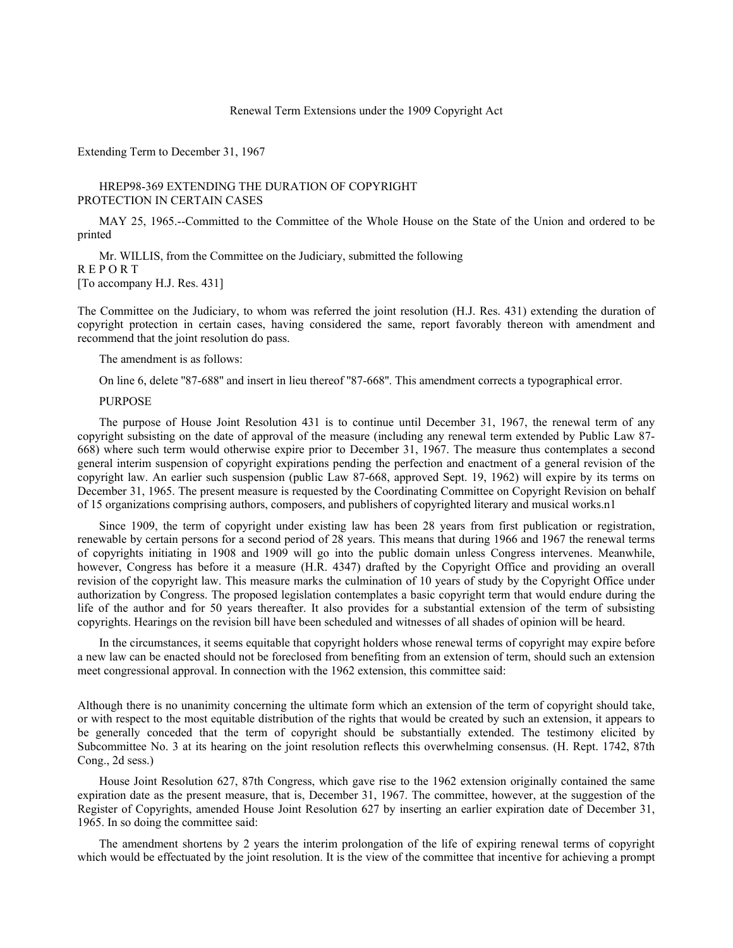#### Renewal Term Extensions under the 1909 Copyright Act

Extending Term to December 31, 1967

### HREP98-369 EXTENDING THE DURATION OF COPYRIGHT PROTECTION IN CERTAIN CASES

MAY 25, 1965.--Committed to the Committee of the Whole House on the State of the Union and ordered to be printed

Mr. WILLIS, from the Committee on the Judiciary, submitted the following R E P O R T [To accompany H.J. Res. 431]

The Committee on the Judiciary, to whom was referred the joint resolution (H.J. Res. 431) extending the duration of copyright protection in certain cases, having considered the same, report favorably thereon with amendment and recommend that the joint resolution do pass.

The amendment is as follows:

On line 6, delete ''87-688'' and insert in lieu thereof ''87-668''. This amendment corrects a typographical error.

## PURPOSE

The purpose of House Joint Resolution 431 is to continue until December 31, 1967, the renewal term of any copyright subsisting on the date of approval of the measure (including any renewal term extended by Public Law 87- 668) where such term would otherwise expire prior to December 31, 1967. The measure thus contemplates a second general interim suspension of copyright expirations pending the perfection and enactment of a general revision of the copyright law. An earlier such suspension (public Law 87-668, approved Sept. 19, 1962) will expire by its terms on December 31, 1965. The present measure is requested by the Coordinating Committee on Copyright Revision on behalf of 15 organizations comprising authors, composers, and publishers of copyrighted literary and musical works.n1

Since 1909, the term of copyright under existing law has been 28 years from first publication or registration, renewable by certain persons for a second period of 28 years. This means that during 1966 and 1967 the renewal terms of copyrights initiating in 1908 and 1909 will go into the public domain unless Congress intervenes. Meanwhile, however, Congress has before it a measure (H.R. 4347) drafted by the Copyright Office and providing an overall revision of the copyright law. This measure marks the culmination of 10 years of study by the Copyright Office under authorization by Congress. The proposed legislation contemplates a basic copyright term that would endure during the life of the author and for 50 years thereafter. It also provides for a substantial extension of the term of subsisting copyrights. Hearings on the revision bill have been scheduled and witnesses of all shades of opinion will be heard.

In the circumstances, it seems equitable that copyright holders whose renewal terms of copyright may expire before a new law can be enacted should not be foreclosed from benefiting from an extension of term, should such an extension meet congressional approval. In connection with the 1962 extension, this committee said:

Although there is no unanimity concerning the ultimate form which an extension of the term of copyright should take, or with respect to the most equitable distribution of the rights that would be created by such an extension, it appears to be generally conceded that the term of copyright should be substantially extended. The testimony elicited by Subcommittee No. 3 at its hearing on the joint resolution reflects this overwhelming consensus. (H. Rept. 1742, 87th Cong., 2d sess.)

House Joint Resolution 627, 87th Congress, which gave rise to the 1962 extension originally contained the same expiration date as the present measure, that is, December 31, 1967. The committee, however, at the suggestion of the Register of Copyrights, amended House Joint Resolution 627 by inserting an earlier expiration date of December 31, 1965. In so doing the committee said:

The amendment shortens by 2 years the interim prolongation of the life of expiring renewal terms of copyright which would be effectuated by the joint resolution. It is the view of the committee that incentive for achieving a prompt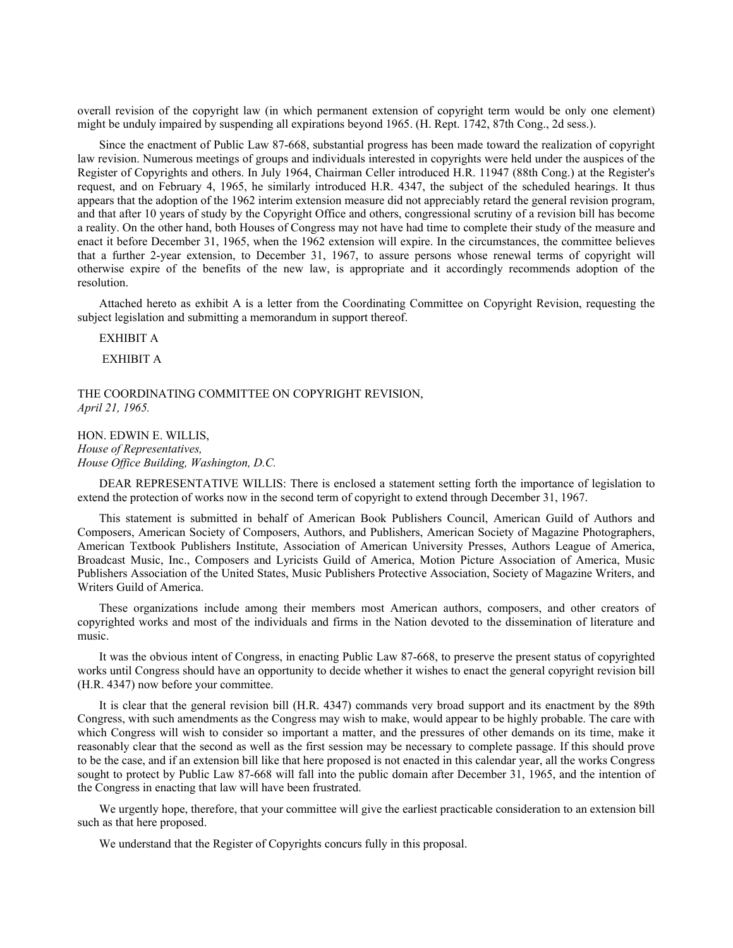overall revision of the copyright law (in which permanent extension of copyright term would be only one element) might be unduly impaired by suspending all expirations beyond 1965. (H. Rept. 1742, 87th Cong., 2d sess.).

Since the enactment of Public Law 87-668, substantial progress has been made toward the realization of copyright law revision. Numerous meetings of groups and individuals interested in copyrights were held under the auspices of the Register of Copyrights and others. In July 1964, Chairman Celler introduced H.R. 11947 (88th Cong.) at the Register's request, and on February 4, 1965, he similarly introduced H.R. 4347, the subject of the scheduled hearings. It thus appears that the adoption of the 1962 interim extension measure did not appreciably retard the general revision program, and that after 10 years of study by the Copyright Office and others, congressional scrutiny of a revision bill has become a reality. On the other hand, both Houses of Congress may not have had time to complete their study of the measure and enact it before December 31, 1965, when the 1962 extension will expire. In the circumstances, the committee believes that a further 2-year extension, to December 31, 1967, to assure persons whose renewal terms of copyright will otherwise expire of the benefits of the new law, is appropriate and it accordingly recommends adoption of the resolution.

Attached hereto as exhibit A is a letter from the Coordinating Committee on Copyright Revision, requesting the subject legislation and submitting a memorandum in support thereof.

EXHIBIT A

EXHIBIT A

THE COORDINATING COMMITTEE ON COPYRIGHT REVISION, *April 21, 1965.*

HON. EDWIN E. WILLIS, *House of Representatives, House Office Building, Washington, D.C.*

DEAR REPRESENTATIVE WILLIS: There is enclosed a statement setting forth the importance of legislation to extend the protection of works now in the second term of copyright to extend through December 31, 1967.

This statement is submitted in behalf of American Book Publishers Council, American Guild of Authors and Composers, American Society of Composers, Authors, and Publishers, American Society of Magazine Photographers, American Textbook Publishers Institute, Association of American University Presses, Authors League of America, Broadcast Music, Inc., Composers and Lyricists Guild of America, Motion Picture Association of America, Music Publishers Association of the United States, Music Publishers Protective Association, Society of Magazine Writers, and Writers Guild of America.

These organizations include among their members most American authors, composers, and other creators of copyrighted works and most of the individuals and firms in the Nation devoted to the dissemination of literature and music.

It was the obvious intent of Congress, in enacting Public Law 87-668, to preserve the present status of copyrighted works until Congress should have an opportunity to decide whether it wishes to enact the general copyright revision bill (H.R. 4347) now before your committee.

It is clear that the general revision bill (H.R. 4347) commands very broad support and its enactment by the 89th Congress, with such amendments as the Congress may wish to make, would appear to be highly probable. The care with which Congress will wish to consider so important a matter, and the pressures of other demands on its time, make it reasonably clear that the second as well as the first session may be necessary to complete passage. If this should prove to be the case, and if an extension bill like that here proposed is not enacted in this calendar year, all the works Congress sought to protect by Public Law 87-668 will fall into the public domain after December 31, 1965, and the intention of the Congress in enacting that law will have been frustrated.

We urgently hope, therefore, that your committee will give the earliest practicable consideration to an extension bill such as that here proposed.

We understand that the Register of Copyrights concurs fully in this proposal.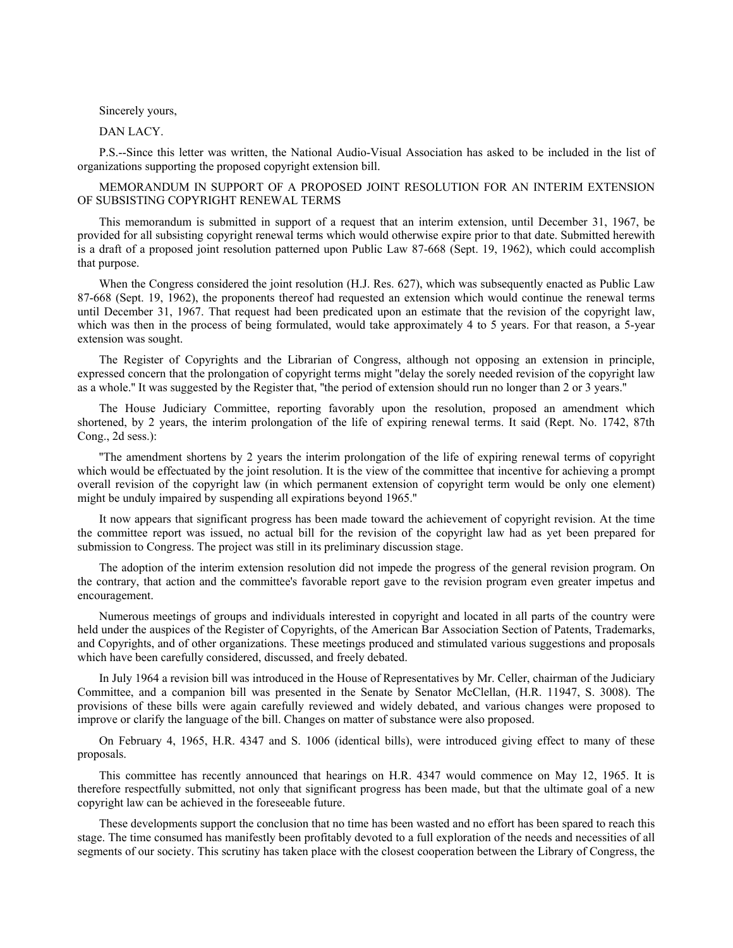## Sincerely yours,

## DAN LACY.

P.S.--Since this letter was written, the National Audio-Visual Association has asked to be included in the list of organizations supporting the proposed copyright extension bill.

MEMORANDUM IN SUPPORT OF A PROPOSED JOINT RESOLUTION FOR AN INTERIM EXTENSION OF SUBSISTING COPYRIGHT RENEWAL TERMS

This memorandum is submitted in support of a request that an interim extension, until December 31, 1967, be provided for all subsisting copyright renewal terms which would otherwise expire prior to that date. Submitted herewith is a draft of a proposed joint resolution patterned upon Public Law 87-668 (Sept. 19, 1962), which could accomplish that purpose.

When the Congress considered the joint resolution (H.J. Res. 627), which was subsequently enacted as Public Law 87-668 (Sept. 19, 1962), the proponents thereof had requested an extension which would continue the renewal terms until December 31, 1967. That request had been predicated upon an estimate that the revision of the copyright law, which was then in the process of being formulated, would take approximately 4 to 5 years. For that reason, a 5-year extension was sought.

The Register of Copyrights and the Librarian of Congress, although not opposing an extension in principle, expressed concern that the prolongation of copyright terms might ''delay the sorely needed revision of the copyright law as a whole.'' It was suggested by the Register that, ''the period of extension should run no longer than 2 or 3 years.''

The House Judiciary Committee, reporting favorably upon the resolution, proposed an amendment which shortened, by 2 years, the interim prolongation of the life of expiring renewal terms. It said (Rept. No. 1742, 87th Cong., 2d sess.):

''The amendment shortens by 2 years the interim prolongation of the life of expiring renewal terms of copyright which would be effectuated by the joint resolution. It is the view of the committee that incentive for achieving a prompt overall revision of the copyright law (in which permanent extension of copyright term would be only one element) might be unduly impaired by suspending all expirations beyond 1965.''

It now appears that significant progress has been made toward the achievement of copyright revision. At the time the committee report was issued, no actual bill for the revision of the copyright law had as yet been prepared for submission to Congress. The project was still in its preliminary discussion stage.

The adoption of the interim extension resolution did not impede the progress of the general revision program. On the contrary, that action and the committee's favorable report gave to the revision program even greater impetus and encouragement.

Numerous meetings of groups and individuals interested in copyright and located in all parts of the country were held under the auspices of the Register of Copyrights, of the American Bar Association Section of Patents, Trademarks, and Copyrights, and of other organizations. These meetings produced and stimulated various suggestions and proposals which have been carefully considered, discussed, and freely debated.

In July 1964 a revision bill was introduced in the House of Representatives by Mr. Celler, chairman of the Judiciary Committee, and a companion bill was presented in the Senate by Senator McClellan, (H.R. 11947, S. 3008). The provisions of these bills were again carefully reviewed and widely debated, and various changes were proposed to improve or clarify the language of the bill. Changes on matter of substance were also proposed.

On February 4, 1965, H.R. 4347 and S. 1006 (identical bills), were introduced giving effect to many of these proposals.

This committee has recently announced that hearings on H.R. 4347 would commence on May 12, 1965. It is therefore respectfully submitted, not only that significant progress has been made, but that the ultimate goal of a new copyright law can be achieved in the foreseeable future.

These developments support the conclusion that no time has been wasted and no effort has been spared to reach this stage. The time consumed has manifestly been profitably devoted to a full exploration of the needs and necessities of all segments of our society. This scrutiny has taken place with the closest cooperation between the Library of Congress, the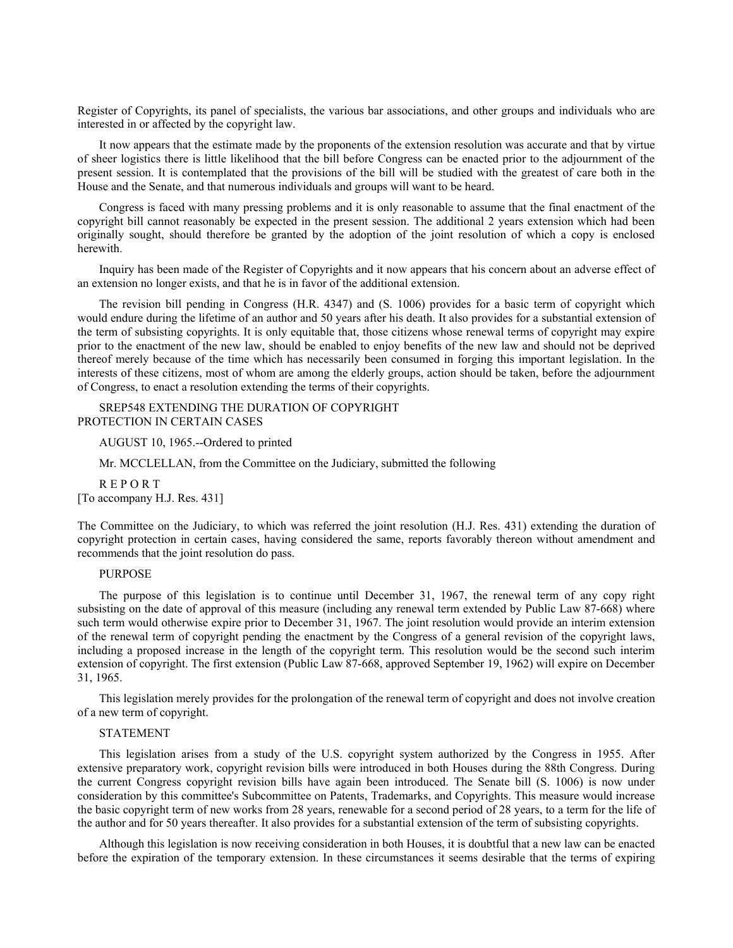Register of Copyrights, its panel of specialists, the various bar associations, and other groups and individuals who are interested in or affected by the copyright law.

It now appears that the estimate made by the proponents of the extension resolution was accurate and that by virtue of sheer logistics there is little likelihood that the bill before Congress can be enacted prior to the adjournment of the present session. It is contemplated that the provisions of the bill will be studied with the greatest of care both in the House and the Senate, and that numerous individuals and groups will want to be heard.

Congress is faced with many pressing problems and it is only reasonable to assume that the final enactment of the copyright bill cannot reasonably be expected in the present session. The additional 2 years extension which had been originally sought, should therefore be granted by the adoption of the joint resolution of which a copy is enclosed herewith.

Inquiry has been made of the Register of Copyrights and it now appears that his concern about an adverse effect of an extension no longer exists, and that he is in favor of the additional extension.

The revision bill pending in Congress (H.R. 4347) and (S. 1006) provides for a basic term of copyright which would endure during the lifetime of an author and 50 years after his death. It also provides for a substantial extension of the term of subsisting copyrights. It is only equitable that, those citizens whose renewal terms of copyright may expire prior to the enactment of the new law, should be enabled to enjoy benefits of the new law and should not be deprived thereof merely because of the time which has necessarily been consumed in forging this important legislation. In the interests of these citizens, most of whom are among the elderly groups, action should be taken, before the adjournment of Congress, to enact a resolution extending the terms of their copyrights.

SREP548 EXTENDING THE DURATION OF COPYRIGHT PROTECTION IN CERTAIN CASES

AUGUST 10, 1965.--Ordered to printed

Mr. MCCLELLAN, from the Committee on the Judiciary, submitted the following

R E P O R T [To accompany H.J. Res. 431]

The Committee on the Judiciary, to which was referred the joint resolution (H.J. Res. 431) extending the duration of copyright protection in certain cases, having considered the same, reports favorably thereon without amendment and recommends that the joint resolution do pass.

## PURPOSE

The purpose of this legislation is to continue until December 31, 1967, the renewal term of any copy right subsisting on the date of approval of this measure (including any renewal term extended by Public Law 87-668) where such term would otherwise expire prior to December 31, 1967. The joint resolution would provide an interim extension of the renewal term of copyright pending the enactment by the Congress of a general revision of the copyright laws, including a proposed increase in the length of the copyright term. This resolution would be the second such interim extension of copyright. The first extension (Public Law 87-668, approved September 19, 1962) will expire on December 31, 1965.

This legislation merely provides for the prolongation of the renewal term of copyright and does not involve creation of a new term of copyright.

#### STATEMENT

This legislation arises from a study of the U.S. copyright system authorized by the Congress in 1955. After extensive preparatory work, copyright revision bills were introduced in both Houses during the 88th Congress. During the current Congress copyright revision bills have again been introduced. The Senate bill (S. 1006) is now under consideration by this committee's Subcommittee on Patents, Trademarks, and Copyrights. This measure would increase the basic copyright term of new works from 28 years, renewable for a second period of 28 years, to a term for the life of the author and for 50 years thereafter. It also provides for a substantial extension of the term of subsisting copyrights.

Although this legislation is now receiving consideration in both Houses, it is doubtful that a new law can be enacted before the expiration of the temporary extension. In these circumstances it seems desirable that the terms of expiring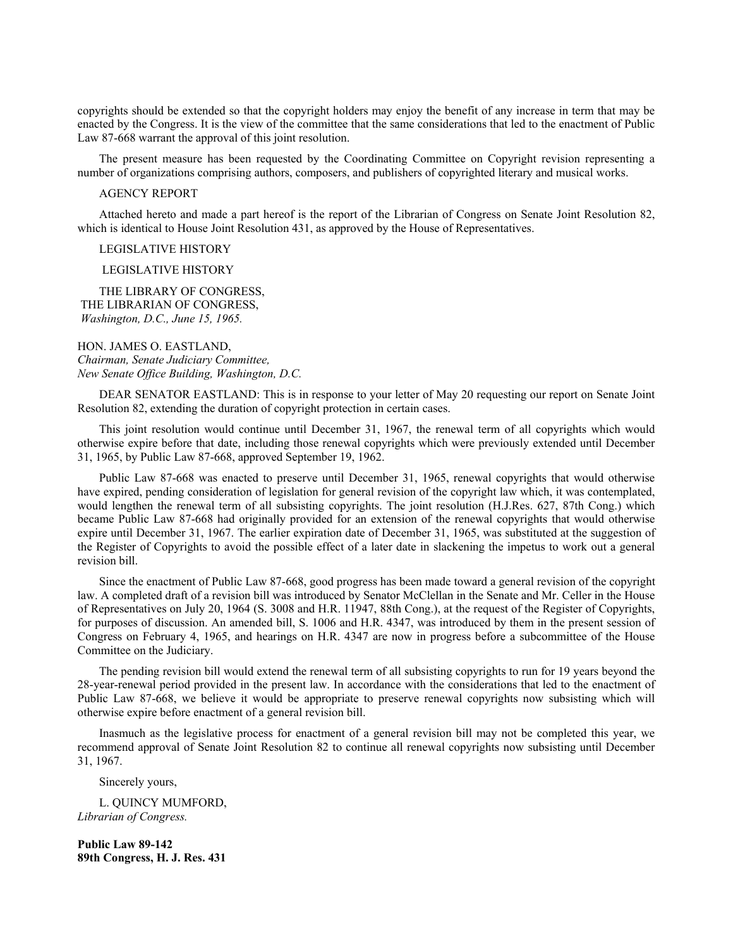copyrights should be extended so that the copyright holders may enjoy the benefit of any increase in term that may be enacted by the Congress. It is the view of the committee that the same considerations that led to the enactment of Public Law 87-668 warrant the approval of this joint resolution.

The present measure has been requested by the Coordinating Committee on Copyright revision representing a number of organizations comprising authors, composers, and publishers of copyrighted literary and musical works.

## AGENCY REPORT

Attached hereto and made a part hereof is the report of the Librarian of Congress on Senate Joint Resolution 82, which is identical to House Joint Resolution 431, as approved by the House of Representatives.

## LEGISLATIVE HISTORY

LEGISLATIVE HISTORY

THE LIBRARY OF CONGRESS, THE LIBRARIAN OF CONGRESS, *Washington, D.C., June 15, 1965.*

HON. JAMES O. EASTLAND, *Chairman, Senate Judiciary Committee, New Senate Office Building, Washington, D.C.*

DEAR SENATOR EASTLAND: This is in response to your letter of May 20 requesting our report on Senate Joint Resolution 82, extending the duration of copyright protection in certain cases.

This joint resolution would continue until December 31, 1967, the renewal term of all copyrights which would otherwise expire before that date, including those renewal copyrights which were previously extended until December 31, 1965, by Public Law 87-668, approved September 19, 1962.

Public Law 87-668 was enacted to preserve until December 31, 1965, renewal copyrights that would otherwise have expired, pending consideration of legislation for general revision of the copyright law which, it was contemplated, would lengthen the renewal term of all subsisting copyrights. The joint resolution (H.J.Res. 627, 87th Cong.) which became Public Law 87-668 had originally provided for an extension of the renewal copyrights that would otherwise expire until December 31, 1967. The earlier expiration date of December 31, 1965, was substituted at the suggestion of the Register of Copyrights to avoid the possible effect of a later date in slackening the impetus to work out a general revision bill.

Since the enactment of Public Law 87-668, good progress has been made toward a general revision of the copyright law. A completed draft of a revision bill was introduced by Senator McClellan in the Senate and Mr. Celler in the House of Representatives on July 20, 1964 (S. 3008 and H.R. 11947, 88th Cong.), at the request of the Register of Copyrights, for purposes of discussion. An amended bill, S. 1006 and H.R. 4347, was introduced by them in the present session of Congress on February 4, 1965, and hearings on H.R. 4347 are now in progress before a subcommittee of the House Committee on the Judiciary.

The pending revision bill would extend the renewal term of all subsisting copyrights to run for 19 years beyond the 28-year-renewal period provided in the present law. In accordance with the considerations that led to the enactment of Public Law 87-668, we believe it would be appropriate to preserve renewal copyrights now subsisting which will otherwise expire before enactment of a general revision bill.

Inasmuch as the legislative process for enactment of a general revision bill may not be completed this year, we recommend approval of Senate Joint Resolution 82 to continue all renewal copyrights now subsisting until December 31, 1967.

Sincerely yours,

L. QUINCY MUMFORD, *Librarian of Congress.*

**Public Law 89-142 89th Congress, H. J. Res. 431**